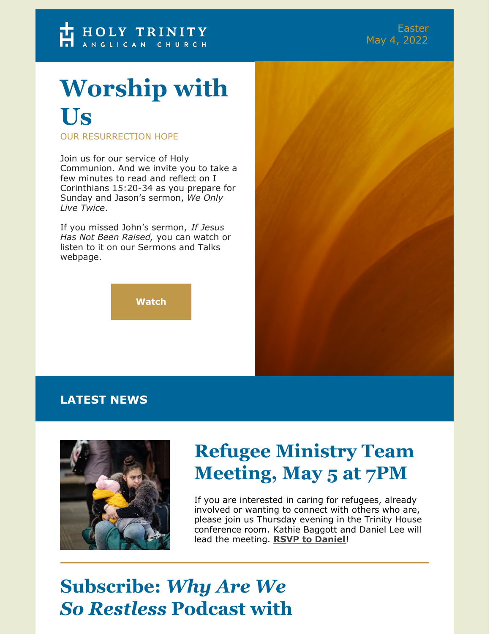# **Worship with Us**

OUR RESURRECTION HOPE

Join us for our service of Holy Communion. And we invite you to take a few minutes to read and reflect on I Corinthians 15:20-34 as you prepare for Sunday and Jason's sermon, *We Only Live Twice*.

If you missed John's sermon, *If Jesus Has Not Been Raised,* you can watch or listen to it on our Sermons and Talks webpage.

**[Watch](https://htcraleigh.org/resources/sermons/#audio)**

#### **LATEST NEWS**



## **Refugee Ministry Team Meeting, May 5 at 7PM**

If you are interested in caring for refugees, already involved or wanting to connect with others who are, please join us Thursday evening in the Trinity House conference room. Kathie Baggott and Daniel Lee will lead the meeting. **RSVP to [Daniel](mailto:dlee@htcraleigh.org)**!

#### **Subscribe:** *Why Are We So Restless* **Podcast with**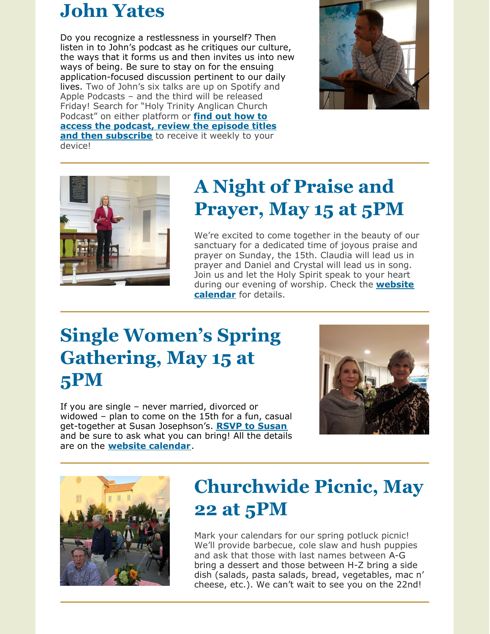#### **John Yates**

Do you recognize a restlessness in yourself? Then listen in to John's podcast as he critiques our culture, the ways that it forms us and then invites us into new ways of being. Be sure to stay on for the ensuing application-focused discussion pertinent to our daily lives. Two of John's six talks are up on Spotify and Apple Podcasts – and the third will be released Friday! Search for "Holy Trinity Anglican Church Podcast" on either platform or **find out how to access the podcast, review the episode titles and then [subscribe](https://htcraleigh.org/resources/videos/)** to receive it weekly to your device!





# **A Night of Praise and Prayer, May 15 at 5PM**

We're excited to come together in the beauty of our sanctuary for a dedicated time of joyous praise and prayer on Sunday, the 15th. Claudia will lead us in prayer and Daniel and Crystal will lead us in song. Join us and let the Holy Spirit speak to your heart during our evening of worship. Check the **website [calendar](https://htcraleigh.org/calendar)** for details.

#### **Single Women's Spring Gathering, May 15 at 5PM**

If you are single – never married, divorced or widowed – plan to come on the 15th for a fun, casual get-together at Susan Josephson's. **RSVP to [Susan](mailto:sjosephson@htcraleigh.org)** and be sure to ask what you can bring! All the details are on the **website [calendar](https://htcraleigh.org/calendar)**.





## **Churchwide Picnic, May 22 at 5PM**

Mark your calendars for our spring potluck picnic! We'll provide barbecue, cole slaw and hush puppies and ask that those with last names between A-G bring a dessert and those between H-Z bring a side dish (salads, pasta salads, bread, vegetables, mac n' cheese, etc.). We can't wait to see you on the 22nd!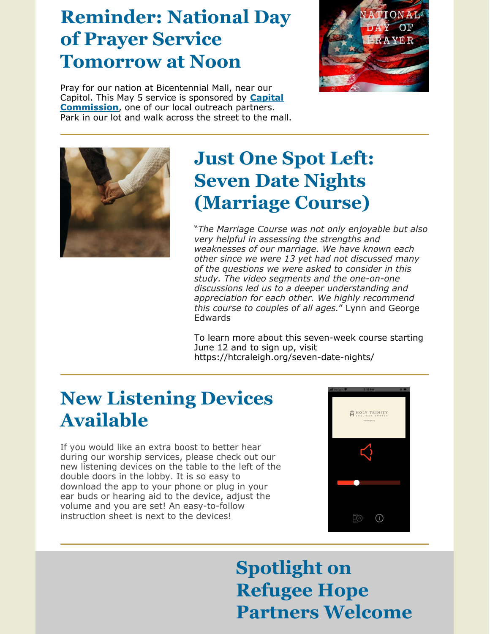## **Reminder: National Day of Prayer Service Tomorrow at Noon**

Pray for our nation at Bicentennial Mall, near our Capitol. This May 5 service is sponsored by **Capital [Commission](https://htcraleigh.org/connect/serve/serve-our-city/#Capital-Commission)**, one of our local outreach partners. Park in our lot and walk across the street to the mall.





## **Just One Spot Left: Seven Date Nights (Marriage Course)**

"*The Marriage Course was not only enjoyable but also very helpful in assessing the strengths and weaknesses of our marriage. We have known each other since we were 13 yet had not discussed many of the questions we were asked to consider in this study. The video segments and the one-on-one discussions led us to a deeper understanding and appreciation for each other. We highly recommend this course to couples of all ages.*" Lynn and George Edwards

To learn more about this seven-week course starting June 12 and to sign up, visit https://htcraleigh.org/seven-date-nights/

# **New Listening Devices Available**

If you would like an extra boost to better hear during our worship services, please check out our new listening devices on the table to the left of the double doors in the lobby. It is so easy to download the app to your phone or plug in your ear buds or hearing aid to the device, adjust the volume and you are set! An easy-to-follow instruction sheet is next to the devices!



# **Spotlight on Refugee Hope Partners Welcome**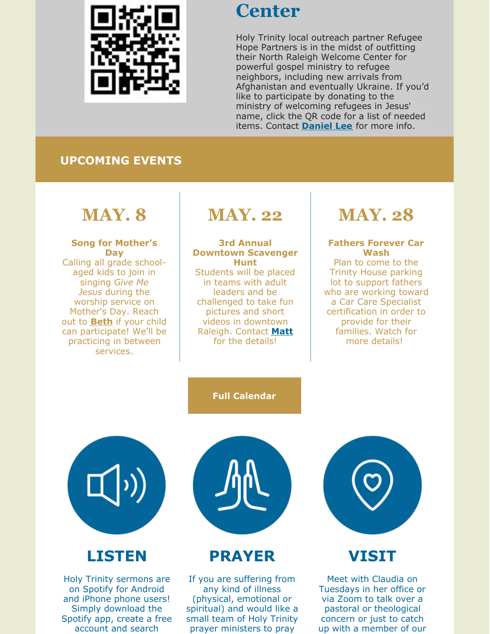

#### **Center**

Holy Trinity local outreach partner Refugee Hope Partners is in the midst of outfitting their North Raleigh Welcome Center for powerful gospel ministry to refugee neighbors, including new arrivals from Afghanistan and eventually Ukraine. If you'd like to participate by donating to the ministry of welcoming refugees in Jesus' name, click the QR code for a list of needed items. Contact **[Daniel](mailto:dlee@htcraleigh.org) Lee** for more info.

#### **UPCOMING EVENTS**

#### **MAY. 8**

**Song for Mother's Day** Calling all grade schoolaged kids to join in singing *Give Me Jesus* during the worship service on Mother's Day. Reach out to **[Beth](mailto:byoumans@htcraleigh.org)** if your child can participate! We'll be practicing in between services.

# **MAY. 22**

**3rd Annual Downtown Scavenger Hunt** Students will be placed in teams with adult leaders and be challenged to take fun pictures and short videos in downtown Raleigh. Contact **[Matt](mailto:mdesmarais@htcraleigh.org)** for the details!

# **MAY. 28**

#### **Fathers Forever Car Wash**

Plan to come to the Trinity House parking lot to support fathers who are working toward a Car Care Specialist certification in order to provide for their families. Watch for more details!

#### **Full [Calendar](https://htcraleigh.org/calendar/)**



#### **LISTEN**

Holy Trinity sermons are on Spotify for Android and iPhone phone users! Simply download the Spotify app, create a free account and search



#### **PRAYER**

If you are suffering from any kind of illness (physical, emotional or spiritual) and would like a small team of Holy Trinity prayer ministers to pray



#### **VISIT**

Meet with Claudia on Tuesdays in her office or via Zoom to talk over a pastoral or theological concern or just to catch up with a member of our